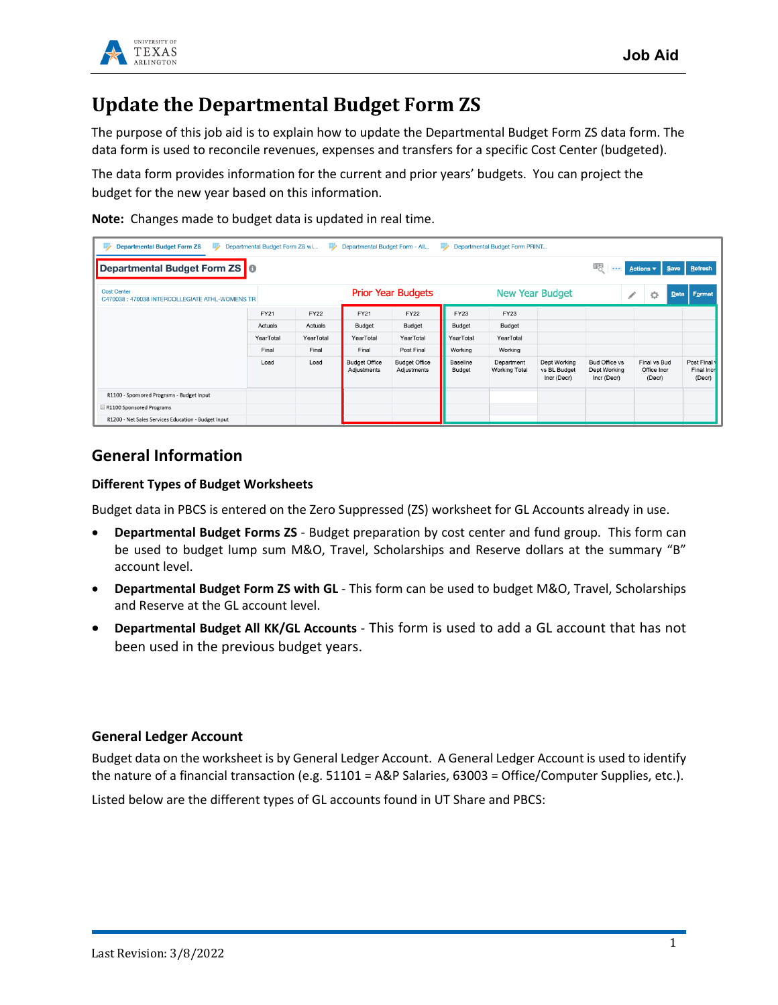

### **Update the Departmental Budget Form ZS**

The purpose of this job aid is to explain how to update the Departmental Budget Form ZS data form. The data form is used to reconcile revenues, expenses and transfers for a specific Cost Center (budgeted).

The data form provides information for the current and prior years' budgets. You can project the budget for the new year based on this information.

**Note:** Changes made to budget data is updated in real time.

| <b>Departmental Budget Form ZS</b><br>⋑<br>₽                          | Departmental Budget Form ZS wi | ₽           | Departmental Budget Form - All      |                                     | ⋑                  | Departmental Budget Form PRINT     |                                             |                                                     |   |                                       |                                    |
|-----------------------------------------------------------------------|--------------------------------|-------------|-------------------------------------|-------------------------------------|--------------------|------------------------------------|---------------------------------------------|-----------------------------------------------------|---|---------------------------------------|------------------------------------|
| Departmental Budget Form ZS   0                                       |                                |             |                                     |                                     |                    |                                    |                                             |                                                     |   |                                       | Actions v Save Refresh             |
| <b>Cost Center</b><br>C470038 : 470038 INTERCOLLEGIATE ATHL-WOMENS TR |                                |             |                                     | <b>Prior Year Budgets</b>           |                    |                                    | <b>New Year Budget</b>                      |                                                     | ◢ | O                                     | Format<br>Data                     |
|                                                                       | FY21                           | <b>FY22</b> | FY21                                | <b>FY22</b>                         | <b>FY23</b>        | <b>FY23</b>                        |                                             |                                                     |   |                                       |                                    |
|                                                                       | Actuals                        | Actuals     | Budget                              | Budget                              | Budget             | Budget                             |                                             |                                                     |   |                                       |                                    |
|                                                                       | YearTotal                      | YearTotal   | YearTotal                           | YearTotal                           | YearTotal          | YearTotal                          |                                             |                                                     |   |                                       |                                    |
|                                                                       | Final                          | Final       | Final                               | Post Final                          | Working            | Working                            |                                             |                                                     |   |                                       |                                    |
|                                                                       | Load                           | Load        | <b>Budget Office</b><br>Adjustments | <b>Budget Office</b><br>Adjustments | Baseline<br>Budget | Department<br><b>Working Total</b> | Dept Working<br>vs BL Budget<br>Incr (Decr) | <b>Bud Office vs</b><br>Dept Working<br>Incr (Decr) |   | Final vs Bud<br>Office Incr<br>(Decr) | Post Final<br>Final Incr<br>(Decr) |
| R1100 - Sponsored Programs - Budget Input                             |                                |             |                                     |                                     |                    |                                    |                                             |                                                     |   |                                       |                                    |
| R1100 Sponsored Programs                                              |                                |             |                                     |                                     |                    |                                    |                                             |                                                     |   |                                       |                                    |
| R1200 - Net Sales Services Education - Budget Input                   |                                |             |                                     |                                     |                    |                                    |                                             |                                                     |   |                                       |                                    |

#### **General Information**

#### **Different Types of Budget Worksheets**

Budget data in PBCS is entered on the Zero Suppressed (ZS) worksheet for GL Accounts already in use.

- **Departmental Budget Forms ZS** Budget preparation by cost center and fund group. This form can be used to budget lump sum M&O, Travel, Scholarships and Reserve dollars at the summary "B" account level.
- **Departmental Budget Form ZS with GL** This form can be used to budget M&O, Travel, Scholarships and Reserve at the GL account level.
- **Departmental Budget All KK/GL Accounts** This form is used to add a GL account that has not been used in the previous budget years.

#### **General Ledger Account**

Budget data on the worksheet is by General Ledger Account. A General Ledger Account is used to identify the nature of a financial transaction (e.g. 51101 = A&P Salaries, 63003 = Office/Computer Supplies, etc.).

Listed below are the different types of GL accounts found in UT Share and PBCS: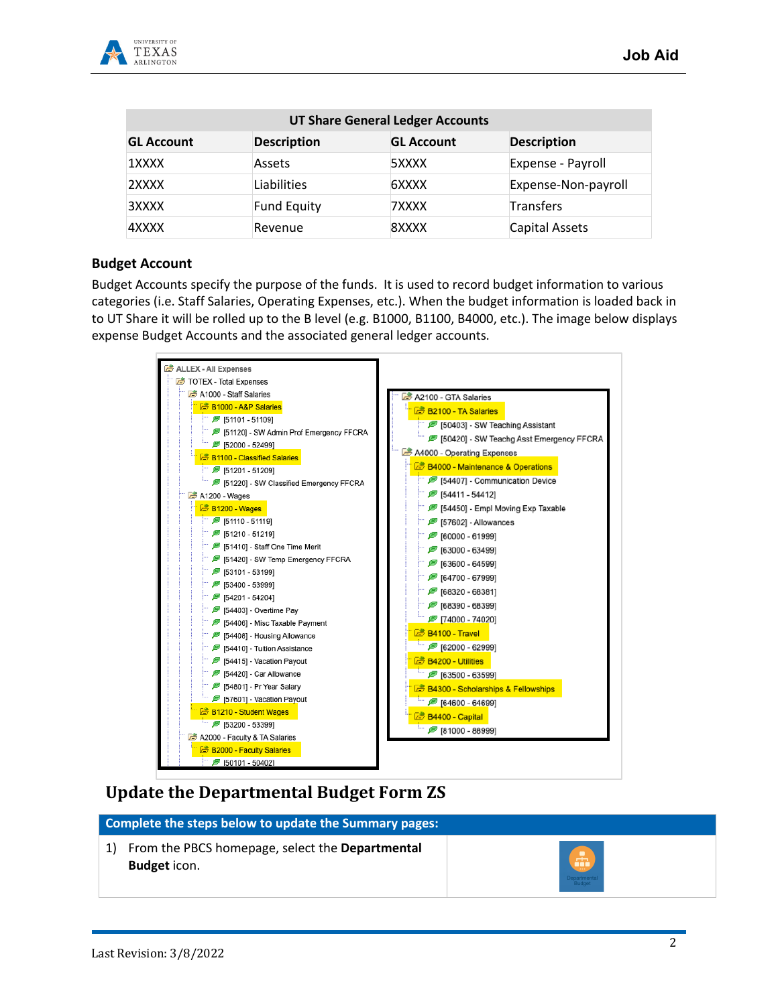

| <b>UT Share General Ledger Accounts</b> |                    |                   |                     |  |  |  |  |  |  |
|-----------------------------------------|--------------------|-------------------|---------------------|--|--|--|--|--|--|
| <b>GL Account</b>                       | <b>Description</b> | <b>GL Account</b> | <b>Description</b>  |  |  |  |  |  |  |
| 1XXXX                                   | Assets             | 5XXXX             | Expense - Payroll   |  |  |  |  |  |  |
| 2XXXX                                   | Liabilities        | 6XXXX             | Expense-Non-payroll |  |  |  |  |  |  |
| 3XXXX                                   | <b>Fund Equity</b> | 7XXXX             | Transfers           |  |  |  |  |  |  |
| 4XXXX                                   | Revenue            | 8XXXX             | Capital Assets      |  |  |  |  |  |  |

#### **Budget Account**

Budget Accounts specify the purpose of the funds. It is used to record budget information to various categories (i.e. Staff Salaries, Operating Expenses, etc.). When the budget information is loaded back in to UT Share it will be rolled up to the B level (e.g. B1000, B1100, B4000, etc.). The image below displays expense Budget Accounts and the associated general ledger accounts.



### **Update the Departmental Budget Form ZS**

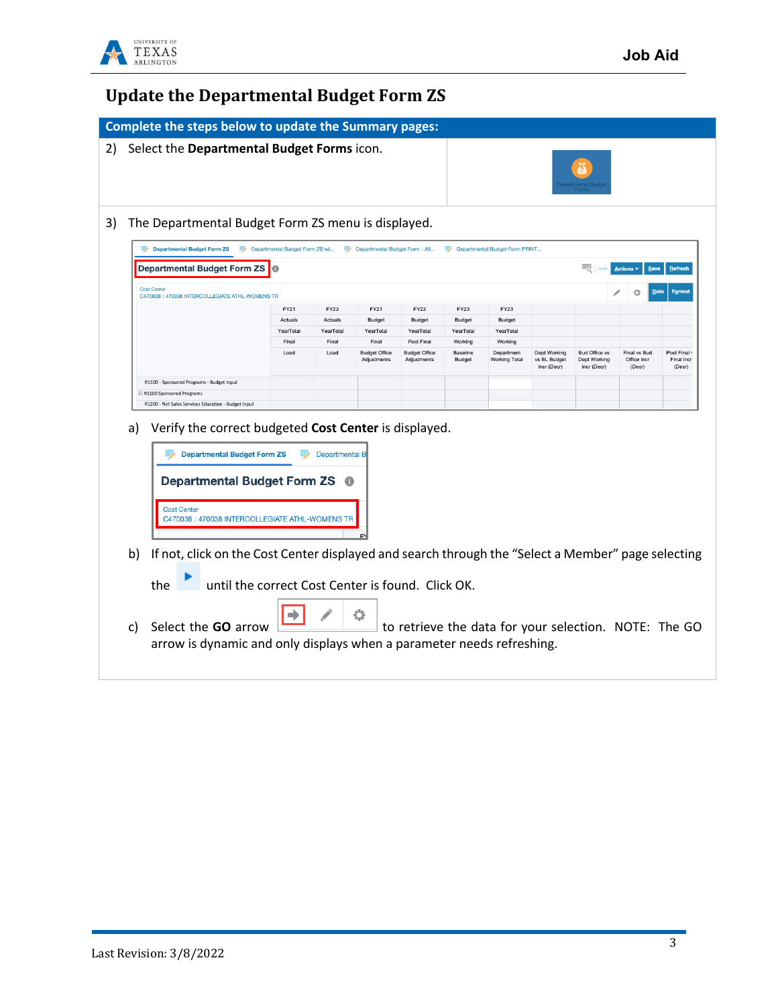

## **Update the Departmental Budget Form ZS**

|                                                                                                                                                                                                                                                              | Select the Departmental Budget Forms icon.        |                       |                                     |                                     |                    |                                                       |                                             |                                                     |                                       |                                    |
|--------------------------------------------------------------------------------------------------------------------------------------------------------------------------------------------------------------------------------------------------------------|---------------------------------------------------|-----------------------|-------------------------------------|-------------------------------------|--------------------|-------------------------------------------------------|---------------------------------------------|-----------------------------------------------------|---------------------------------------|------------------------------------|
|                                                                                                                                                                                                                                                              |                                                   |                       |                                     |                                     |                    |                                                       |                                             |                                                     |                                       |                                    |
|                                                                                                                                                                                                                                                              |                                                   |                       |                                     |                                     |                    |                                                       |                                             |                                                     |                                       |                                    |
|                                                                                                                                                                                                                                                              |                                                   |                       |                                     |                                     |                    |                                                       |                                             |                                                     |                                       |                                    |
| The Departmental Budget Form ZS menu is displayed.                                                                                                                                                                                                           |                                                   |                       |                                     |                                     |                    |                                                       |                                             |                                                     |                                       |                                    |
| Departmental Budget Form ZS                                                                                                                                                                                                                                  | Departmental Budget Form ZS wi                    |                       | Departmental Budget Form - All      |                                     |                    | Departmental Budget Form PRINT.                       |                                             |                                                     |                                       |                                    |
| <b>Departmental Budget Form ZS</b>                                                                                                                                                                                                                           |                                                   |                       |                                     |                                     |                    |                                                       |                                             | 罂                                                   | Save<br><b>Actions</b>                | Refresh                            |
| <b>Cost Center</b><br>C470038 : 470038 INTERCOLLEGIATE ATHL-WOMENS TR                                                                                                                                                                                        |                                                   |                       |                                     |                                     |                    |                                                       |                                             |                                                     |                                       | Format                             |
|                                                                                                                                                                                                                                                              | FY21                                              | <b>FY22</b>           | FY21                                | <b>FY22</b>                         | <b>FY23</b>        | <b>FY23</b>                                           |                                             |                                                     |                                       |                                    |
|                                                                                                                                                                                                                                                              | Actuals                                           | Actuals               | <b>Budget</b>                       | Budget                              | Budget             | Budget                                                |                                             |                                                     |                                       |                                    |
|                                                                                                                                                                                                                                                              | YearTotal                                         | YearTotal             | YearTotal                           | YearTotal                           | YearTotal          | YearTotal                                             |                                             |                                                     |                                       |                                    |
|                                                                                                                                                                                                                                                              | Final                                             | Final                 | Final                               | Post Final                          | Working            | Working                                               |                                             |                                                     |                                       |                                    |
|                                                                                                                                                                                                                                                              | Load                                              | Load                  | <b>Budget Office</b><br>Adjustments | <b>Budget Office</b><br>Adiustments | Baseline<br>Budget | Department<br><b>Working Total</b>                    | Dept Working<br>vs BL Budget<br>Incr (Decr) | <b>Bud Office vs</b><br>Dept Working<br>Incr (Decr) | Final vs Bud<br>Office Incr<br>(Decr) | Post Final<br>Final Incr<br>(Decr) |
| R1100 - Sponsored Programs - Budget Input                                                                                                                                                                                                                    |                                                   |                       |                                     |                                     |                    |                                                       |                                             |                                                     |                                       |                                    |
| R1100 Sponsored Programs                                                                                                                                                                                                                                     |                                                   |                       |                                     |                                     |                    |                                                       |                                             |                                                     |                                       |                                    |
| R1200 - Net Sales Services Education - Budget Input                                                                                                                                                                                                          |                                                   |                       |                                     |                                     |                    |                                                       |                                             |                                                     |                                       |                                    |
| Verify the correct budgeted Cost Center is displayed.<br>a)                                                                                                                                                                                                  |                                                   |                       |                                     |                                     |                    |                                                       |                                             |                                                     |                                       |                                    |
| <b>Departmental Budget Form ZS</b><br><b>Departmental Budget Form ZS</b><br><b>Cost Center</b><br>C470038: 470038 INTERCOLLEGIATE ATHL-WOMENS TF<br>If not, click on the Cost Center displayed and search through the "Select a Member" page selecting<br>b) |                                                   | <b>Departmental B</b> |                                     |                                     |                    |                                                       |                                             |                                                     |                                       |                                    |
| the                                                                                                                                                                                                                                                          | until the correct Cost Center is found. Click OK. |                       |                                     |                                     |                    |                                                       |                                             |                                                     |                                       |                                    |
| Select the GO arrow<br>c)<br>arrow is dynamic and only displays when a parameter needs refreshing.                                                                                                                                                           |                                                   |                       |                                     |                                     |                    | to retrieve the data for your selection. NOTE: The GO |                                             |                                                     |                                       |                                    |